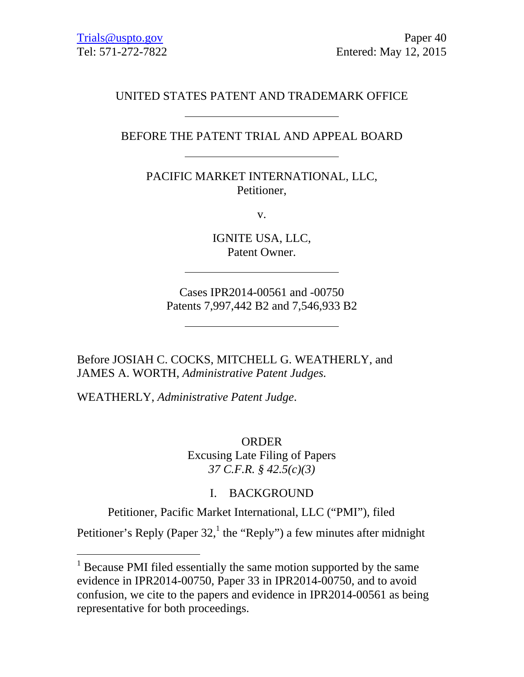# UNITED STATES PATENT AND TRADEMARK OFFICE

## BEFORE THE PATENT TRIAL AND APPEAL BOARD

PACIFIC MARKET INTERNATIONAL, LLC, Petitioner,

v.

IGNITE USA, LLC, Patent Owner.

Cases IPR2014-00561 and -00750 Patents 7,997,442 B2 and 7,546,933 B2

Before JOSIAH C. COCKS, MITCHELL G. WEATHERLY, and JAMES A. WORTH, *Administrative Patent Judges.* 

WEATHERLY, *Administrative Patent Judge*.

 $\overline{a}$ 

ORDER Excusing Late Filing of Papers *37 C.F.R. § 42.5(c)(3)* 

## I. BACKGROUND

Petitioner, Pacific Market International, LLC ("PMI"), filed

Petitioner's Reply (Paper 32,<sup>1</sup> the "Reply") a few minutes after midnight

<sup>&</sup>lt;sup>1</sup> Because PMI filed essentially the same motion supported by the same evidence in IPR2014-00750, Paper 33 in IPR2014-00750, and to avoid confusion, we cite to the papers and evidence in IPR2014-00561 as being representative for both proceedings.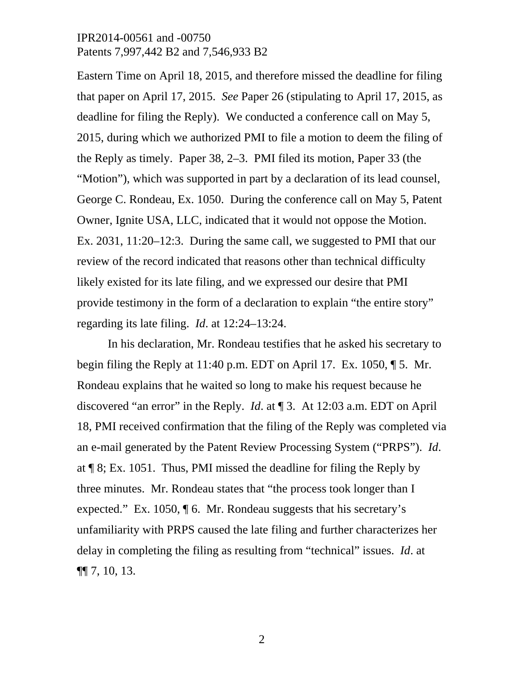Eastern Time on April 18, 2015, and therefore missed the deadline for filing that paper on April 17, 2015. *See* Paper 26 (stipulating to April 17, 2015, as deadline for filing the Reply). We conducted a conference call on May 5, 2015, during which we authorized PMI to file a motion to deem the filing of the Reply as timely. Paper 38, 2–3. PMI filed its motion, Paper 33 (the "Motion"), which was supported in part by a declaration of its lead counsel, George C. Rondeau, Ex. 1050. During the conference call on May 5, Patent Owner, Ignite USA, LLC, indicated that it would not oppose the Motion. Ex. 2031, 11:20–12:3. During the same call, we suggested to PMI that our review of the record indicated that reasons other than technical difficulty likely existed for its late filing, and we expressed our desire that PMI provide testimony in the form of a declaration to explain "the entire story" regarding its late filing. *Id*. at 12:24–13:24.

In his declaration, Mr. Rondeau testifies that he asked his secretary to begin filing the Reply at 11:40 p.m. EDT on April 17. Ex. 1050, ¶ 5. Mr. Rondeau explains that he waited so long to make his request because he discovered "an error" in the Reply. *Id*. at ¶ 3. At 12:03 a.m. EDT on April 18, PMI received confirmation that the filing of the Reply was completed via an e-mail generated by the Patent Review Processing System ("PRPS"). *Id*. at ¶ 8; Ex. 1051. Thus, PMI missed the deadline for filing the Reply by three minutes. Mr. Rondeau states that "the process took longer than I expected." Ex. 1050, ¶ 6. Mr. Rondeau suggests that his secretary's unfamiliarity with PRPS caused the late filing and further characterizes her delay in completing the filing as resulting from "technical" issues. *Id*. at ¶¶ 7, 10, 13.

2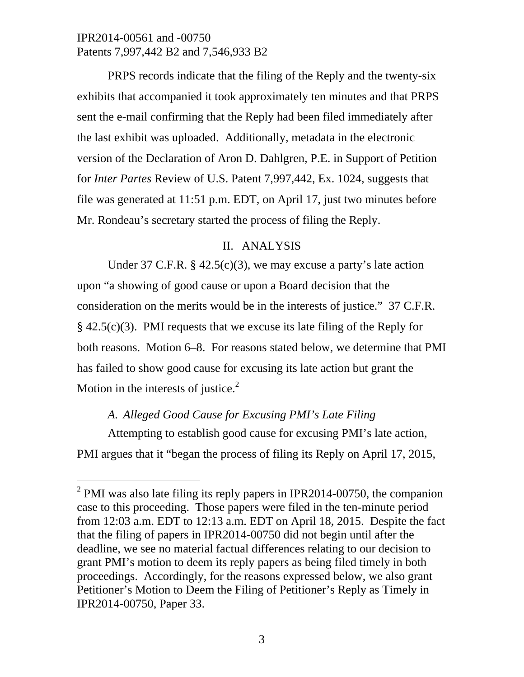PRPS records indicate that the filing of the Reply and the twenty-six exhibits that accompanied it took approximately ten minutes and that PRPS sent the e-mail confirming that the Reply had been filed immediately after the last exhibit was uploaded. Additionally, metadata in the electronic version of the Declaration of Aron D. Dahlgren, P.E. in Support of Petition for *Inter Partes* Review of U.S. Patent 7,997,442, Ex. 1024, suggests that file was generated at 11:51 p.m. EDT, on April 17, just two minutes before Mr. Rondeau's secretary started the process of filing the Reply.

## II. ANALYSIS

Under 37 C.F.R. § 42.5(c)(3), we may excuse a party's late action upon "a showing of good cause or upon a Board decision that the consideration on the merits would be in the interests of justice." 37 C.F.R.  $§$  42.5(c)(3). PMI requests that we excuse its late filing of the Reply for both reasons. Motion 6–8. For reasons stated below, we determine that PMI has failed to show good cause for excusing its late action but grant the Motion in the interests of justice. $2$ 

# *A. Alleged Good Cause for Excusing PMI's Late Filing*

 $\overline{a}$ 

Attempting to establish good cause for excusing PMI's late action, PMI argues that it "began the process of filing its Reply on April 17, 2015,

<sup>&</sup>lt;sup>2</sup> PMI was also late filing its reply papers in IPR2014-00750, the companion case to this proceeding. Those papers were filed in the ten-minute period from 12:03 a.m. EDT to 12:13 a.m. EDT on April 18, 2015. Despite the fact that the filing of papers in IPR2014-00750 did not begin until after the deadline, we see no material factual differences relating to our decision to grant PMI's motion to deem its reply papers as being filed timely in both proceedings. Accordingly, for the reasons expressed below, we also grant Petitioner's Motion to Deem the Filing of Petitioner's Reply as Timely in IPR2014-00750, Paper 33.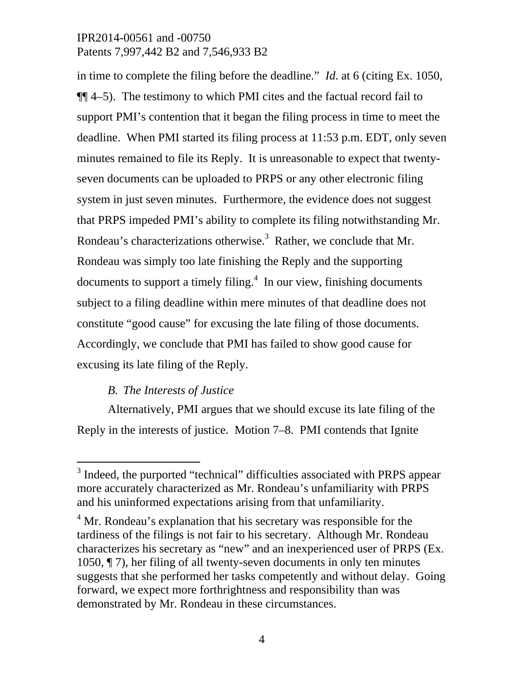in time to complete the filing before the deadline." *Id*. at 6 (citing Ex. 1050, ¶¶ 4–5). The testimony to which PMI cites and the factual record fail to support PMI's contention that it began the filing process in time to meet the deadline. When PMI started its filing process at 11:53 p.m. EDT, only seven minutes remained to file its Reply. It is unreasonable to expect that twentyseven documents can be uploaded to PRPS or any other electronic filing system in just seven minutes. Furthermore, the evidence does not suggest that PRPS impeded PMI's ability to complete its filing notwithstanding Mr. Rondeau's characterizations otherwise.<sup>3</sup> Rather, we conclude that Mr. Rondeau was simply too late finishing the Reply and the supporting documents to support a timely filing. $4$  In our view, finishing documents subject to a filing deadline within mere minutes of that deadline does not constitute "good cause" for excusing the late filing of those documents. Accordingly, we conclude that PMI has failed to show good cause for excusing its late filing of the Reply.

## *B. The Interests of Justice*

 $\overline{a}$ 

Alternatively, PMI argues that we should excuse its late filing of the Reply in the interests of justice. Motion 7–8. PMI contends that Ignite

<sup>&</sup>lt;sup>3</sup> Indeed, the purported "technical" difficulties associated with PRPS appear more accurately characterized as Mr. Rondeau's unfamiliarity with PRPS and his uninformed expectations arising from that unfamiliarity.

<sup>&</sup>lt;sup>4</sup> Mr. Rondeau's explanation that his secretary was responsible for the tardiness of the filings is not fair to his secretary. Although Mr. Rondeau characterizes his secretary as "new" and an inexperienced user of PRPS (Ex. 1050, ¶ 7), her filing of all twenty-seven documents in only ten minutes suggests that she performed her tasks competently and without delay. Going forward, we expect more forthrightness and responsibility than was demonstrated by Mr. Rondeau in these circumstances.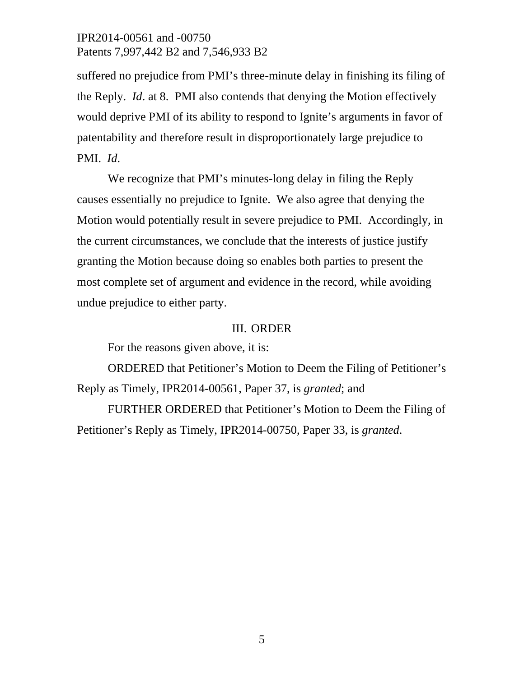suffered no prejudice from PMI's three-minute delay in finishing its filing of the Reply. *Id*. at 8. PMI also contends that denying the Motion effectively would deprive PMI of its ability to respond to Ignite's arguments in favor of patentability and therefore result in disproportionately large prejudice to PMI. *Id*.

We recognize that PMI's minutes-long delay in filing the Reply causes essentially no prejudice to Ignite. We also agree that denying the Motion would potentially result in severe prejudice to PMI. Accordingly, in the current circumstances, we conclude that the interests of justice justify granting the Motion because doing so enables both parties to present the most complete set of argument and evidence in the record, while avoiding undue prejudice to either party.

#### III. ORDER

For the reasons given above, it is:

ORDERED that Petitioner's Motion to Deem the Filing of Petitioner's Reply as Timely, IPR2014-00561, Paper 37, is *granted*; and

FURTHER ORDERED that Petitioner's Motion to Deem the Filing of Petitioner's Reply as Timely, IPR2014-00750, Paper 33, is *granted*.